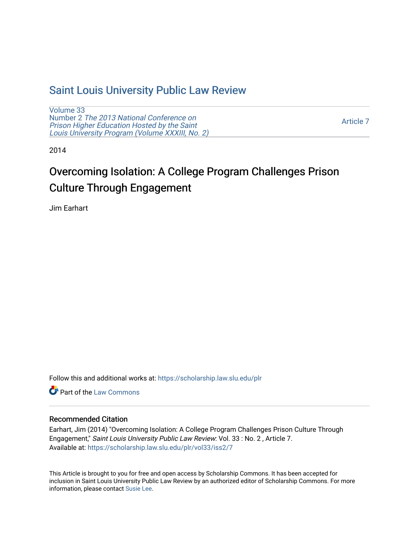# [Saint Louis University Public Law Review](https://scholarship.law.slu.edu/plr)

[Volume 33](https://scholarship.law.slu.edu/plr/vol33) Number 2 [The 2013 National Conference on](https://scholarship.law.slu.edu/plr/vol33/iss2) [Prison Higher Education Hosted by the Saint](https://scholarship.law.slu.edu/plr/vol33/iss2)  [Louis University Program \(Volume XXXIII, No. 2\)](https://scholarship.law.slu.edu/plr/vol33/iss2) 

[Article 7](https://scholarship.law.slu.edu/plr/vol33/iss2/7) 

2014

# Overcoming Isolation: A College Program Challenges Prison Culture Through Engagement

Jim Earhart

Follow this and additional works at: [https://scholarship.law.slu.edu/plr](https://scholarship.law.slu.edu/plr?utm_source=scholarship.law.slu.edu%2Fplr%2Fvol33%2Fiss2%2F7&utm_medium=PDF&utm_campaign=PDFCoverPages) 

**Part of the [Law Commons](http://network.bepress.com/hgg/discipline/578?utm_source=scholarship.law.slu.edu%2Fplr%2Fvol33%2Fiss2%2F7&utm_medium=PDF&utm_campaign=PDFCoverPages)** 

# Recommended Citation

Earhart, Jim (2014) "Overcoming Isolation: A College Program Challenges Prison Culture Through Engagement," Saint Louis University Public Law Review: Vol. 33 : No. 2 , Article 7. Available at: [https://scholarship.law.slu.edu/plr/vol33/iss2/7](https://scholarship.law.slu.edu/plr/vol33/iss2/7?utm_source=scholarship.law.slu.edu%2Fplr%2Fvol33%2Fiss2%2F7&utm_medium=PDF&utm_campaign=PDFCoverPages)

This Article is brought to you for free and open access by Scholarship Commons. It has been accepted for inclusion in Saint Louis University Public Law Review by an authorized editor of Scholarship Commons. For more information, please contact [Susie Lee](mailto:susie.lee@slu.edu).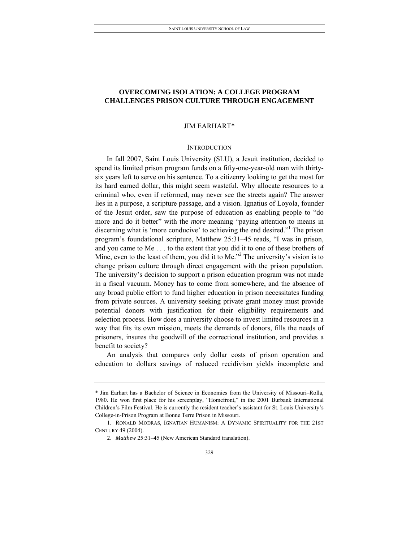# **OVERCOMING ISOLATION: A COLLEGE PROGRAM CHALLENGES PRISON CULTURE THROUGH ENGAGEMENT**

#### JIM EARHART\*

#### **INTRODUCTION**

In fall 2007, Saint Louis University (SLU), a Jesuit institution, decided to spend its limited prison program funds on a fifty-one-year-old man with thirtysix years left to serve on his sentence. To a citizenry looking to get the most for its hard earned dollar, this might seem wasteful. Why allocate resources to a criminal who, even if reformed, may never see the streets again? The answer lies in a purpose, a scripture passage, and a vision. Ignatius of Loyola, founder of the Jesuit order, saw the purpose of education as enabling people to "do more and do it better" with the *more* meaning "paying attention to means in discerning what is 'more conducive' to achieving the end desired."<sup>1</sup> The prison program's foundational scripture, Matthew 25:31–45 reads, "I was in prison, and you came to Me . . . to the extent that you did it to one of these brothers of Mine, even to the least of them, you did it to Me."<sup>2</sup> The university's vision is to change prison culture through direct engagement with the prison population. The university's decision to support a prison education program was not made in a fiscal vacuum. Money has to come from somewhere, and the absence of any broad public effort to fund higher education in prison necessitates funding from private sources. A university seeking private grant money must provide potential donors with justification for their eligibility requirements and selection process. How does a university choose to invest limited resources in a way that fits its own mission, meets the demands of donors, fills the needs of prisoners, insures the goodwill of the correctional institution, and provides a benefit to society?

An analysis that compares only dollar costs of prison operation and education to dollars savings of reduced recidivism yields incomplete and

<sup>\*</sup> Jim Earhart has a Bachelor of Science in Economics from the University of Missouri–Rolla, 1980. He won first place for his screenplay, "Homefront," in the 2001 Burbank International Children's Film Festival. He is currently the resident teacher's assistant for St. Louis University's College-in-Prison Program at Bonne Terre Prison in Missouri.

 <sup>1.</sup> RONALD MODRAS, IGNATIAN HUMANISM: A DYNAMIC SPIRITUALITY FOR THE 21ST CENTURY 49 (2004).

<sup>2.</sup> *Matthew 25:31-45* (New American Standard translation).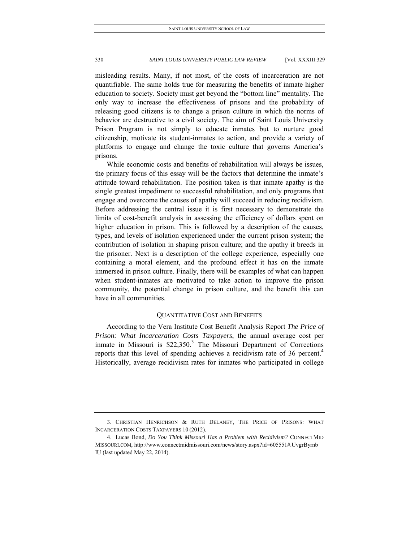misleading results. Many, if not most, of the costs of incarceration are not quantifiable. The same holds true for measuring the benefits of inmate higher education to society. Society must get beyond the "bottom line" mentality. The only way to increase the effectiveness of prisons and the probability of releasing good citizens is to change a prison culture in which the norms of behavior are destructive to a civil society. The aim of Saint Louis University Prison Program is not simply to educate inmates but to nurture good citizenship, motivate its student-inmates to action, and provide a variety of platforms to engage and change the toxic culture that governs America's prisons.

While economic costs and benefits of rehabilitation will always be issues, the primary focus of this essay will be the factors that determine the inmate's attitude toward rehabilitation. The position taken is that inmate apathy is the single greatest impediment to successful rehabilitation, and only programs that engage and overcome the causes of apathy will succeed in reducing recidivism. Before addressing the central issue it is first necessary to demonstrate the limits of cost-benefit analysis in assessing the efficiency of dollars spent on higher education in prison. This is followed by a description of the causes, types, and levels of isolation experienced under the current prison system; the contribution of isolation in shaping prison culture; and the apathy it breeds in the prisoner. Next is a description of the college experience, especially one containing a moral element, and the profound effect it has on the inmate immersed in prison culture. Finally, there will be examples of what can happen when student-inmates are motivated to take action to improve the prison community, the potential change in prison culture, and the benefit this can have in all communities.

#### QUANTITATIVE COST AND BENEFITS

According to the Vera Institute Cost Benefit Analysis Report *The Price of Prison: What Incarceration Costs Taxpayers*, the annual average cost per inmate in Missouri is  $$22,350$ <sup>3</sup> The Missouri Department of Corrections reports that this level of spending achieves a recidivism rate of 36 percent.<sup>4</sup> Historically, average recidivism rates for inmates who participated in college

 <sup>3.</sup> CHRISTIAN HENRICHSON & RUTH DELANEY, THE PRICE OF PRISONS: WHAT INCARCERATION COSTS TAXPAYERS 10 (2012).

 <sup>4.</sup> Lucas Bond, *Do You Think Missouri Has a Problem with Recidivism?* CONNECTMID MISSOURI.COM, http://www.connectmidmissouri.com/news/story.aspx?id=605551#.UvgrByrnb IU (last updated May 22, 2014).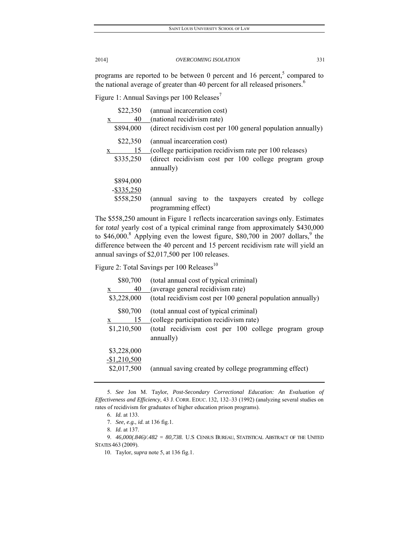programs are reported to be between 0 percent and 16 percent, $5$  compared to the national average of greater than 40 percent for all released prisoners.<sup>6</sup>

Figure 1: Annual Savings per 100 Releases<sup>7</sup>

| \$22,350      | (annual incarceration cost)                                                      |
|---------------|----------------------------------------------------------------------------------|
| 40            | (national recidivism rate)                                                       |
| \$894,000     | (direct recidivism cost per 100 general population annually)                     |
| \$22,350      | (annual incarceration cost)                                                      |
| 15            | (college participation recidivism rate per 100 releases)                         |
| \$335,250     | (direct recidivism cost per 100 college program group<br>annually)               |
| \$894,000     |                                                                                  |
| $-$ \$335,250 |                                                                                  |
| \$558,250     | saving to the taxpayers created by<br>(annual)<br>college<br>programming effect) |

The \$558,250 amount in Figure 1 reflects incarceration savings only. Estimates for *total* yearly cost of a typical criminal range from approximately \$430,000 to \$46,000.<sup>8</sup> Applying even the lowest figure, \$80,700 in 2007 dollars,<sup>9</sup> the difference between the 40 percent and 15 percent recidivism rate will yield an annual savings of \$2,017,500 per 100 releases.

Figure 2: Total Savings per 100 Releases $^{10}$ 

| \$80,700      | (total annual cost of typical criminal)                           |
|---------------|-------------------------------------------------------------------|
| 40<br>X       | (average general recidivism rate)                                 |
| \$3,228,000   | (total recidivism cost per 100 general population annually)       |
| \$80,700      | (total annual cost of typical criminal)                           |
| 15            | (college participation recidivism rate)                           |
| \$1,210,500   | (total recidivism cost per 100 college program group<br>annually) |
| \$3,228,000   |                                                                   |
| $-$1,210,500$ |                                                                   |
| \$2,017,500   | (annual saving created by college programming effect)             |

 <sup>5.</sup> *See* Jon M. Taylor, *Post-Secondary Correctional Education: An Evaluation of Effectiveness and Efficiency*, 43 J. CORR. EDUC. 132, 132–33 (1992) (analyzing several studies on rates of recidivism for graduates of higher education prison programs).

 <sup>6.</sup> *Id.* at 133.

 <sup>7.</sup> *See, e.g.*, *id.* at 136 fig.1.

 <sup>8.</sup> *Id.* at 137.

 <sup>9.</sup> *46,000(.846)/.482 = 80,738.* U.S CENSUS BUREAU, STATISTICAL ABSTRACT OF THE UNITED STATES 463 (2009).

 <sup>10.</sup> Taylor, *supra* note 5, at 136 fig.1.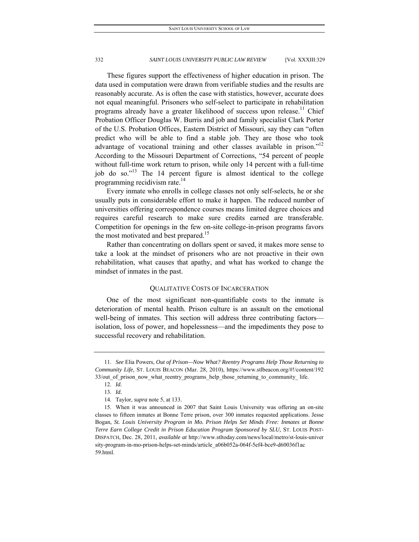These figures support the effectiveness of higher education in prison. The data used in computation were drawn from verifiable studies and the results are reasonably accurate. As is often the case with statistics, however, accurate does not equal meaningful. Prisoners who self-select to participate in rehabilitation programs already have a greater likelihood of success upon release.<sup>11</sup> Chief Probation Officer Douglas W. Burris and job and family specialist Clark Porter of the U.S. Probation Offices, Eastern District of Missouri, say they can "often predict who will be able to find a stable job. They are those who took advantage of vocational training and other classes available in prison."<sup>12</sup> According to the Missouri Department of Corrections, "54 percent of people without full-time work return to prison, while only 14 percent with a full-time job do so."<sup>13</sup> The 14 percent figure is almost identical to the college programming recidivism rate.14

Every inmate who enrolls in college classes not only self-selects, he or she usually puts in considerable effort to make it happen. The reduced number of universities offering correspondence courses means limited degree choices and requires careful research to make sure credits earned are transferable. Competition for openings in the few on-site college-in-prison programs favors the most motivated and best prepared.<sup>15</sup>

Rather than concentrating on dollars spent or saved, it makes more sense to take a look at the mindset of prisoners who are not proactive in their own rehabilitation, what causes that apathy, and what has worked to change the mindset of inmates in the past.

#### QUALITATIVE COSTS OF INCARCERATION

One of the most significant non-quantifiable costs to the inmate is deterioration of mental health. Prison culture is an assault on the emotional well-being of inmates. This section will address three contributing factors isolation, loss of power, and hopelessness—and the impediments they pose to successful recovery and rehabilitation.

 <sup>11.</sup> *See* Elia Powers, *Out of Prison—Now What? Reentry Programs Help Those Returning to Community Life,* ST. LOUIS BEACON (Mar. 28, 2010), https://www.stlbeacon.org/#!/content/192 33/out of prison now what reentry programs help those returning to community life.

 <sup>12.</sup> *Id.*

 <sup>13.</sup> *Id.*

 <sup>14.</sup> Taylor, *supra* note 5, at 133.

 <sup>15.</sup> When it was announced in 2007 that Saint Louis University was offering an on-site classes to fifteen inmates at Bonne Terre prison, over 300 inmates requested applications. Jesse Bogan, *St. Louis University Program in Mo. Prison Helps Set Minds Free: Inmates at Bonne Terre Earn College Credit in Prison Education Program Sponsored by SLU,* ST. LOUIS POST-DISPATCH, Dec. 28, 2011, *available at* http://www.stltoday.com/news/local/metro/st-louis-univer sity-program-in-mo-prison-helps-set-minds/article\_a06b052a-064f-5ef4-bce9-d60036f1ac 59.html.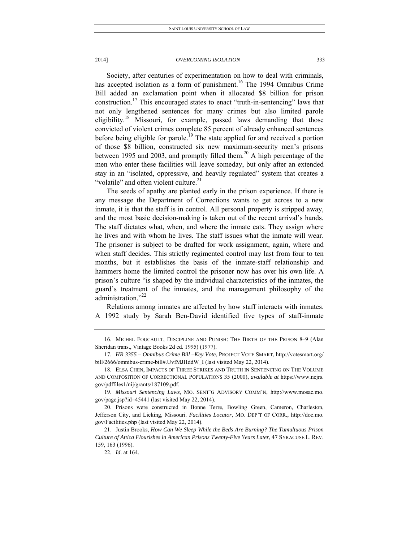Society, after centuries of experimentation on how to deal with criminals, has accepted isolation as a form of punishment.<sup>16</sup> The 1994 Omnibus Crime Bill added an exclamation point when it allocated \$8 billion for prison construction.17 This encouraged states to enact "truth-in-sentencing" laws that not only lengthened sentences for many crimes but also limited parole eligibility.<sup>18</sup> Missouri, for example, passed laws demanding that those convicted of violent crimes complete 85 percent of already enhanced sentences before being eligible for parole.<sup>19</sup> The state applied for and received a portion of those \$8 billion, constructed six new maximum-security men's prisons between 1995 and 2003, and promptly filled them.<sup>20</sup> A high percentage of the men who enter these facilities will leave someday, but only after an extended stay in an "isolated, oppressive, and heavily regulated" system that creates a "volatile" and often violent culture.<sup>21</sup>

The seeds of apathy are planted early in the prison experience. If there is any message the Department of Corrections wants to get across to a new inmate, it is that the staff is in control. All personal property is stripped away, and the most basic decision-making is taken out of the recent arrival's hands. The staff dictates what, when, and where the inmate eats. They assign where he lives and with whom he lives. The staff issues what the inmate will wear. The prisoner is subject to be drafted for work assignment, again, where and when staff decides. This strictly regimented control may last from four to ten months, but it establishes the basis of the inmate-staff relationship and hammers home the limited control the prisoner now has over his own life. A prison's culture "is shaped by the individual characteristics of the inmates, the guard's treatment of the inmates, and the management philosophy of the administration."<sup>22</sup>

Relations among inmates are affected by how staff interacts with inmates. A 1992 study by Sarah Ben-David identified five types of staff-inmate

 <sup>16.</sup> MICHEL FOUCAULT, DISCIPLINE AND PUNISH: THE BIRTH OF THE PRISON 8–9 (Alan Sheridan trans., Vintage Books 2d ed. 1995) (1977).

 <sup>17.</sup> *HR 3355 – Omnibus Crime Bill –Key Vote*, PROJECT VOTE SMART, http://votesmart.org/ bill/2666/omnibus-crime-bill#.UvfMJHddW\_I (last visited May 22, 2014).

 <sup>18.</sup> ELSA CHEN, IMPACTS OF THREE STRIKES AND TRUTH IN SENTENCING ON THE VOLUME AND COMPOSITION OF CORRECTIONAL POPULATIONS 35 (2000), *available at* https://www.ncjrs. gov/pdffiles1/nij/grants/187109.pdf.

 <sup>19.</sup> *Missouri Sentencing Laws*, MO. SENT'G ADVISORY COMM'N, http://www.mosac.mo. gov/page.jsp?id=45441 (last visited May 22, 2014).

 <sup>20.</sup> Prisons were constructed in Bonne Terre, Bowling Green, Cameron, Charleston, Jefferson City, and Licking, Missouri. *Facilities Locator*, MO. DEP'T OF CORR., http://doc.mo. gov/Facilities.php (last visited May 22, 2014).

 <sup>21.</sup> Justin Brooks, *How Can We Sleep While the Beds Are Burning? The Tumultuous Prison Culture of Attica Flourishes in American Prisons Twenty-Five Years Later*, 47 SYRACUSE L. REV. 159, 163 (1996).

 <sup>22.</sup> *Id*. at 164.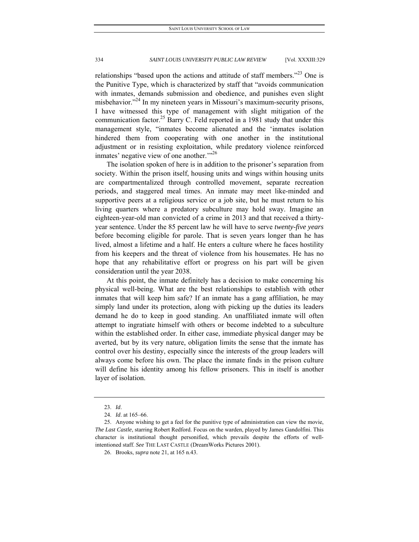relationships "based upon the actions and attitude of staff members."<sup>23</sup> One is the Punitive Type, which is characterized by staff that "avoids communication with inmates, demands submission and obedience, and punishes even slight misbehavior.<sup>224</sup> In my nineteen years in Missouri's maximum-security prisons, I have witnessed this type of management with slight mitigation of the communication factor.<sup>25</sup> Barry C. Feld reported in a 1981 study that under this management style, "inmates become alienated and the 'inmates isolation hindered them from cooperating with one another in the institutional adjustment or in resisting exploitation, while predatory violence reinforced inmates' negative view of one another."<sup>26</sup>

The isolation spoken of here is in addition to the prisoner's separation from society. Within the prison itself, housing units and wings within housing units are compartmentalized through controlled movement, separate recreation periods, and staggered meal times. An inmate may meet like-minded and supportive peers at a religious service or a job site, but he must return to his living quarters where a predatory subculture may hold sway. Imagine an eighteen-year-old man convicted of a crime in 2013 and that received a thirtyyear sentence. Under the 85 percent law he will have to serve *twenty-five years* before becoming eligible for parole. That is seven years longer than he has lived, almost a lifetime and a half. He enters a culture where he faces hostility from his keepers and the threat of violence from his housemates. He has no hope that any rehabilitative effort or progress on his part will be given consideration until the year 2038.

At this point, the inmate definitely has a decision to make concerning his physical well-being. What are the best relationships to establish with other inmates that will keep him safe? If an inmate has a gang affiliation, he may simply land under its protection, along with picking up the duties its leaders demand he do to keep in good standing. An unaffiliated inmate will often attempt to ingratiate himself with others or become indebted to a subculture within the established order. In either case, immediate physical danger may be averted, but by its very nature, obligation limits the sense that the inmate has control over his destiny, especially since the interests of the group leaders will always come before his own. The place the inmate finds in the prison culture will define his identity among his fellow prisoners. This in itself is another layer of isolation.

 <sup>23.</sup> *Id*.

 <sup>24.</sup> *Id*. at 165–66.

 <sup>25.</sup> Anyone wishing to get a feel for the punitive type of administration can view the movie, *The Last Castle*, starring Robert Redford. Focus on the warden, played by James Gandolfini. This character is institutional thought personified, which prevails despite the efforts of wellintentioned staff. *See* THE LAST CASTLE (DreamWorks Pictures 2001).

 <sup>26.</sup> Brooks, *supra* note 21, at 165 n.43.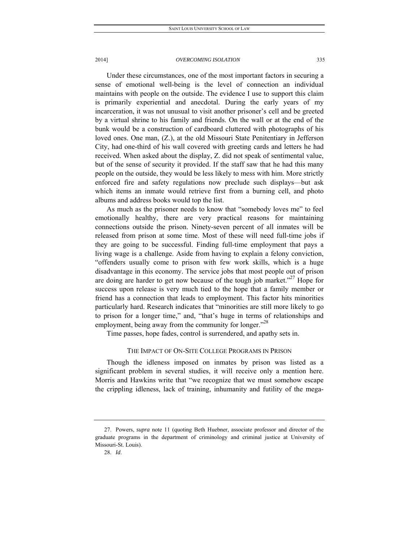Under these circumstances, one of the most important factors in securing a sense of emotional well-being is the level of connection an individual maintains with people on the outside. The evidence I use to support this claim is primarily experiential and anecdotal. During the early years of my incarceration, it was not unusual to visit another prisoner's cell and be greeted by a virtual shrine to his family and friends. On the wall or at the end of the bunk would be a construction of cardboard cluttered with photographs of his loved ones. One man, (Z.), at the old Missouri State Penitentiary in Jefferson City, had one-third of his wall covered with greeting cards and letters he had received. When asked about the display, Z. did not speak of sentimental value, but of the sense of security it provided. If the staff saw that he had this many people on the outside, they would be less likely to mess with him. More strictly enforced fire and safety regulations now preclude such displays—but ask which items an inmate would retrieve first from a burning cell, and photo albums and address books would top the list.

As much as the prisoner needs to know that "somebody loves me" to feel emotionally healthy, there are very practical reasons for maintaining connections outside the prison. Ninety-seven percent of all inmates will be released from prison at some time. Most of these will need full-time jobs if they are going to be successful. Finding full-time employment that pays a living wage is a challenge. Aside from having to explain a felony conviction, "offenders usually come to prison with few work skills, which is a huge disadvantage in this economy. The service jobs that most people out of prison are doing are harder to get now because of the tough job market."<sup>27</sup> Hope for success upon release is very much tied to the hope that a family member or friend has a connection that leads to employment. This factor hits minorities particularly hard. Research indicates that "minorities are still more likely to go to prison for a longer time," and, "that's huge in terms of relationships and employment, being away from the community for longer.<sup>"28</sup>

Time passes, hope fades, control is surrendered, and apathy sets in.

# THE IMPACT OF ON-SITE COLLEGE PROGRAMS IN PRISON

Though the idleness imposed on inmates by prison was listed as a significant problem in several studies, it will receive only a mention here. Morris and Hawkins write that "we recognize that we must somehow escape the crippling idleness, lack of training, inhumanity and futility of the mega-

 <sup>27.</sup> Powers, *supra* note 11 (quoting Beth Huebner, associate professor and director of the graduate programs in the department of criminology and criminal justice at University of Missouri-St. Louis).

 <sup>28.</sup> *Id*.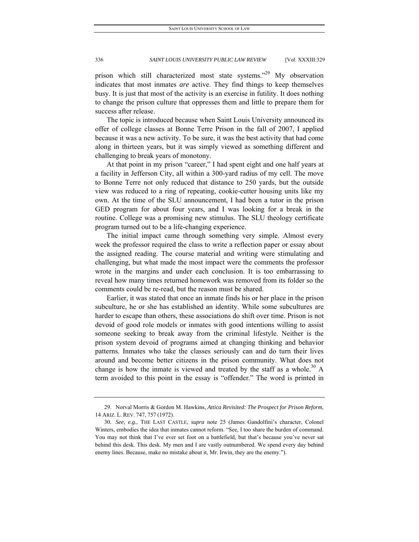prison which still characterized most state systems."<sup>29</sup> My observation indicates that most inmates *are* active. They find things to keep themselves busy. It is just that most of the activity is an exercise in futility. It does nothing to change the prison culture that oppresses them and little to prepare them for success after release.

The topic is introduced because when Saint Louis University announced its offer of college classes at Bonne Terre Prison in the fall of 2007, I applied because it was a new activity. To be sure, it was the best activity that had come along in thirteen years, but it was simply viewed as something different and challenging to break years of monotony.

At that point in my prison "career," I had spent eight and one half years at a facility in Jefferson City, all within a 300-yard radius of my cell. The move to Bonne Terre not only reduced that distance to 250 yards, but the outside view was reduced to a ring of repeating, cookie-cutter housing units like my own. At the time of the SLU announcement, I had been a tutor in the prison GED program for about four years, and I was looking for a break in the routine. College was a promising new stimulus. The SLU theology certificate program turned out to be a life-changing experience.

The initial impact came through something very simple. Almost every week the professor required the class to write a reflection paper or essay about the assigned reading. The course material and writing were stimulating and challenging, but what made the most impact were the comments the professor wrote in the margins and under each conclusion. It is too embarrassing to reveal how many times returned homework was removed from its folder so the comments could be re-read, but the reason must be shared.

Earlier, it was stated that once an inmate finds his or her place in the prison subculture, he or she has established an identity. While some subcultures are harder to escape than others, these associations do shift over time. Prison is not devoid of good role models or inmates with good intentions willing to assist someone seeking to break away from the criminal lifestyle. Neither is the prison system devoid of programs aimed at changing thinking and behavior patterns. Inmates who take the classes seriously can and do turn their lives around and become better citizens in the prison community. What does not change is how the inmate is viewed and treated by the staff as a whole.<sup>30</sup> A term avoided to this point in the essay is "offender*.*" The word is printed in

 <sup>29.</sup> Norval Morris & Gordon M. Hawkins, *Attica Revisited: The Prospect for Prison Reform*, 14 ARIZ. L. REV. 747, 757 (1972).

<sup>30</sup>*. See, e.g.*, THE LAST CASTLE, *supra* note 25 (James Gandolfini's character, Colonel Winters, embodies the idea that inmates cannot reform. "See, I too share the burden of command. You may not think that I've ever set foot on a battlefield, but that's because you've never sat behind this desk. This desk. My men and I are vastly outnumbered. We spend every day behind enemy lines. Because, make no mistake about it, Mr. Irwin, they are the enemy.").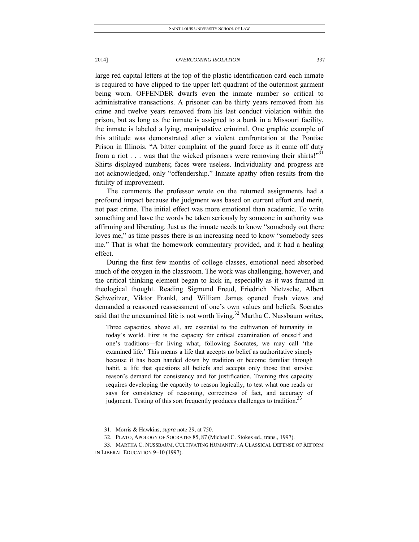large red capital letters at the top of the plastic identification card each inmate is required to have clipped to the upper left quadrant of the outermost garment being worn. OFFENDER dwarfs even the inmate number so critical to administrative transactions. A prisoner can be thirty years removed from his crime and twelve years removed from his last conduct violation within the prison, but as long as the inmate is assigned to a bunk in a Missouri facility, the inmate is labeled a lying, manipulative criminal. One graphic example of this attitude was demonstrated after a violent confrontation at the Pontiac Prison in Illinois. "A bitter complaint of the guard force as it came off duty from a riot . . . was that the wicked prisoners were removing their shirts!"<sup>31</sup> Shirts displayed numbers; faces were useless. Individuality and progress are not acknowledged, only "offendership." Inmate apathy often results from the futility of improvement.

The comments the professor wrote on the returned assignments had a profound impact because the judgment was based on current effort and merit, not past crime. The initial effect was more emotional than academic. To write something and have the words be taken seriously by someone in authority was affirming and liberating. Just as the inmate needs to know "somebody out there loves me," as time passes there is an increasing need to know "somebody sees me." That is what the homework commentary provided, and it had a healing effect.

During the first few months of college classes, emotional need absorbed much of the oxygen in the classroom. The work was challenging, however, and the critical thinking element began to kick in, especially as it was framed in theological thought. Reading Sigmund Freud, Friedrich Nietzsche, Albert Schweitzer, Viktor Frankl, and William James opened fresh views and demanded a reasoned reassessment of one's own values and beliefs. Socrates said that the unexamined life is not worth living.<sup>32</sup> Martha C. Nussbaum writes,

Three capacities, above all, are essential to the cultivation of humanity in today's world. First is the capacity for critical examination of oneself and one's traditions—for living what, following Socrates, we may call 'the examined life.' This means a life that accepts no belief as authoritative simply because it has been handed down by tradition or become familiar through habit, a life that questions all beliefs and accepts only those that survive reason's demand for consistency and for justification. Training this capacity requires developing the capacity to reason logically, to test what one reads or says for consistency of reasoning, correctness of fact, and accuracy of judgment. Testing of this sort frequently produces challenges to tradition.<sup>3</sup>

 <sup>31.</sup> Morris & Hawkins, *supra* note 29, at 750.

 <sup>32.</sup> PLATO, APOLOGY OF SOCRATES 85, 87 (Michael C. Stokes ed., trans., 1997).

 <sup>33.</sup> MARTHA C. NUSSBAUM, CULTIVATING HUMANITY: A CLASSICAL DEFENSE OF REFORM IN LIBERAL EDUCATION 9–10 (1997).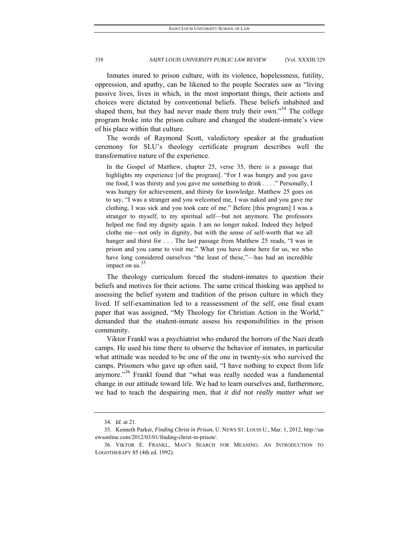Inmates inured to prison culture, with its violence, hopelessness, futility, oppression, and apathy, can be likened to the people Socrates saw as "living passive lives, lives in which, in the most important things, their actions and choices were dictated by conventional beliefs. These beliefs inhabited and shaped them, but they had never made them truly their own."<sup>34</sup> The college program broke into the prison culture and changed the student-inmate's view of his place within that culture.

The words of Raymond Scott, valedictory speaker at the graduation ceremony for SLU's theology certificate program describes well the transformative nature of the experience.

 In the Gospel of Matthew, chapter 25, verse 35, there is a passage that highlights my experience [of the program]. "For I was hungry and you gave me food, I was thirsty and you gave me something to drink . . . ." Personally, I was hungry for achievement, and thirsty for knowledge. Matthew 25 goes on to say, "I was a stranger and you welcomed me, I was naked and you gave me clothing, I was sick and you took care of me." Before [this program] I was a stranger to myself, to my spiritual self—but not anymore. The professors helped me find my dignity again. I am no longer naked. Indeed they helped clothe me—not only in dignity, but with the sense of self-worth that we all hunger and thirst for . . . The last passage from Matthew 25 reads, "I was in prison and you came to visit me." What you have done here for us, we who have long considered ourselves "the least of these,"—has had an incredible impact on us. $35$ 

The theology curriculum forced the student-inmates to question their beliefs and motives for their actions. The same critical thinking was applied to assessing the belief system and tradition of the prison culture in which they lived. If self-examination led to a reassessment of the self, one final exam paper that was assigned, "My Theology for Christian Action in the World," demanded that the student-inmate assess his responsibilities in the prison community.

Viktor Frankl was a psychiatrist who endured the horrors of the Nazi death camps. He used his time there to observe the behavior of inmates, in particular what attitude was needed to be one of the one in twenty-six who survived the camps. Prisoners who gave up often said, "I have nothing to expect from life anymore."<sup>36</sup> Frankl found that "what was really needed was a fundamental change in our attitude toward life. We had to learn ourselves and, furthermore, we had to teach the despairing men, that *it did not really matter what we* 

 <sup>34.</sup> *Id.* at 21.

 <sup>35.</sup> Kenneth Parker, *Finding Christ in Prison*, U. NEWS ST. LOUIS U., Mar. 1, 2012, http://un ewsonline.com/2012/03/01/finding-christ-in-prison/.

 <sup>36.</sup> VIKTOR E. FRANKL, MAN'S SEARCH FOR MEANING: AN INTRODUCTION TO LOGOTHERAPY 85 (4th ed. 1992).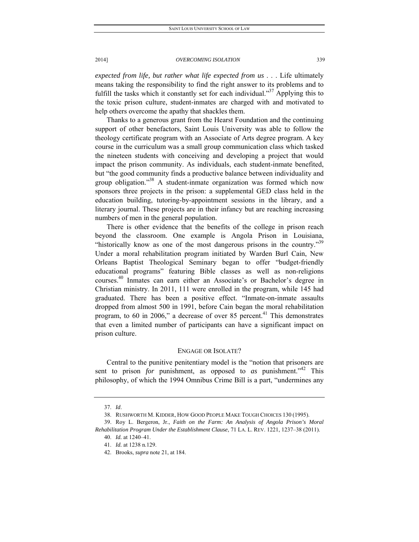*expected from life, but rather what life expected from us* . . . Life ultimately means taking the responsibility to find the right answer to its problems and to fulfill the tasks which it constantly set for each individual."<sup>37</sup> Applying this to the toxic prison culture, student-inmates are charged with and motivated to help others overcome the apathy that shackles them.

Thanks to a generous grant from the Hearst Foundation and the continuing support of other benefactors, Saint Louis University was able to follow the theology certificate program with an Associate of Arts degree program. A key course in the curriculum was a small group communication class which tasked the nineteen students with conceiving and developing a project that would impact the prison community. As individuals, each student-inmate benefited, but "the good community finds a productive balance between individuality and group obligation."<sup>38</sup> A student-inmate organization was formed which now sponsors three projects in the prison: a supplemental GED class held in the education building, tutoring-by-appointment sessions in the library, and a literary journal. These projects are in their infancy but are reaching increasing numbers of men in the general population.

There is other evidence that the benefits of the college in prison reach beyond the classroom. One example is Angola Prison in Louisiana, "historically know as one of the most dangerous prisons in the country."<sup>39</sup> Under a moral rehabilitation program initiated by Warden Burl Cain, New Orleans Baptist Theological Seminary began to offer "budget-friendly educational programs" featuring Bible classes as well as non-religions courses. 40 Inmates can earn either an Associate's or Bachelor's degree in Christian ministry. In 2011, 111 were enrolled in the program, while 145 had graduated. There has been a positive effect. "Inmate-on-inmate assaults dropped from almost 500 in 1991, before Cain began the moral rehabilitation program, to 60 in 2006," a decrease of over 85 percent.<sup>41</sup> This demonstrates that even a limited number of participants can have a significant impact on prison culture.

## ENGAGE OR ISOLATE?

Central to the punitive penitentiary model is the "notion that prisoners are sent to prison *for* punishment, as opposed to *as* punishment."42 This philosophy, of which the 1994 Omnibus Crime Bill is a part, "undermines any

 <sup>37.</sup> *Id*.

 <sup>38.</sup> RUSHWORTH M. KIDDER, HOW GOOD PEOPLE MAKE TOUGH CHOICES 130 (1995).

 <sup>39.</sup> Roy L. Bergeron, Jr., *Faith on the Farm: An Analysis of Angola Prison's Moral Rehabilitation Program Under the Establishment Clause*, 71 LA. L. REV. 1221, 1237–38 (2011).

 <sup>40.</sup> *Id.* at 1240–41.

 <sup>41.</sup> *Id.* at 1238 n.129.

 <sup>42.</sup> Brooks, *supra* note 21, at 184.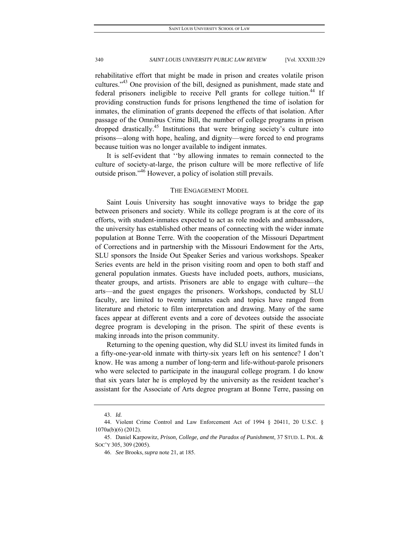rehabilitative effort that might be made in prison and creates volatile prison cultures."<sup>43</sup> One provision of the bill, designed as punishment, made state and federal prisoners ineligible to receive Pell grants for college tuition.<sup>44</sup> If providing construction funds for prisons lengthened the time of isolation for inmates, the elimination of grants deepened the effects of that isolation. After passage of the Omnibus Crime Bill, the number of college programs in prison dropped drastically.<sup>45</sup> Institutions that were bringing society's culture into prisons—along with hope, healing, and dignity—were forced to end programs because tuition was no longer available to indigent inmates.

It is self-evident that ''by allowing inmates to remain connected to the culture of society-at-large, the prison culture will be more reflective of life outside prison."46 However, a policy of isolation still prevails.

### THE ENGAGEMENT MODEL

Saint Louis University has sought innovative ways to bridge the gap between prisoners and society. While its college program is at the core of its efforts, with student-inmates expected to act as role models and ambassadors, the university has established other means of connecting with the wider inmate population at Bonne Terre. With the cooperation of the Missouri Department of Corrections and in partnership with the Missouri Endowment for the Arts, SLU sponsors the Inside Out Speaker Series and various workshops. Speaker Series events are held in the prison visiting room and open to both staff and general population inmates. Guests have included poets, authors, musicians, theater groups, and artists. Prisoners are able to engage with culture—the arts—and the guest engages the prisoners. Workshops, conducted by SLU faculty, are limited to twenty inmates each and topics have ranged from literature and rhetoric to film interpretation and drawing. Many of the same faces appear at different events and a core of devotees outside the associate degree program is developing in the prison. The spirit of these events is making inroads into the prison community.

Returning to the opening question, why did SLU invest its limited funds in a fifty-one-year-old inmate with thirty-six years left on his sentence? I don't know. He was among a number of long-term and life-without-parole prisoners who were selected to participate in the inaugural college program. I do know that six years later he is employed by the university as the resident teacher's assistant for the Associate of Arts degree program at Bonne Terre, passing on

 <sup>43.</sup> *Id.*

 <sup>44.</sup> Violent Crime Control and Law Enforcement Act of 1994 § 20411, 20 U.S.C. § 1070a(b)(6) (2012).

 <sup>45.</sup> Daniel Karpowitz, *Prison, College, and the Paradox of Punishment*, 37 STUD. L. POL. & SOC'Y 305, 309 (2005).

 <sup>46.</sup> *See* Brooks, *supra* note 21, at 185.